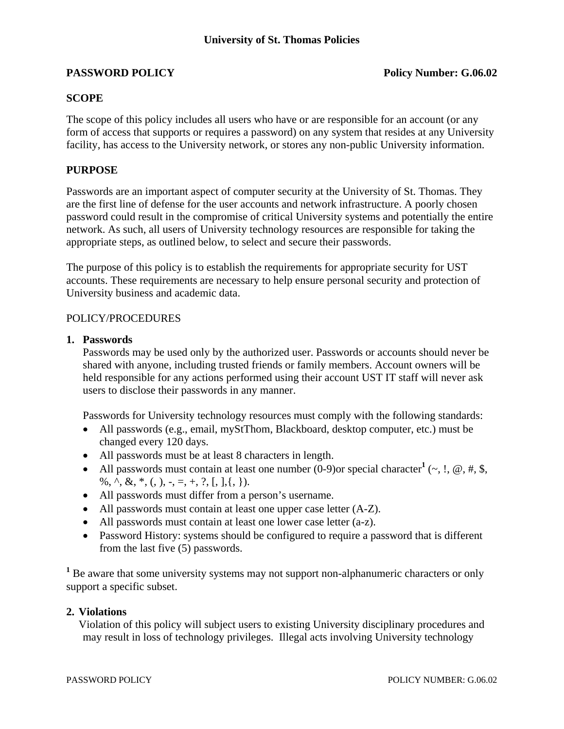# **PASSWORD POLICY** POLICY POLICY POLICING POLICING POLICING POLICING POLICING POLICING POLICING POLICING POLICING POLICING POLICING POLICING POLICING POLICING POLICING POLICING POLICING POLICING POLICING POLICING POLICING P

# **SCOPE**

The scope of this policy includes all users who have or are responsible for an account (or any form of access that supports or requires a password) on any system that resides at any University facility, has access to the University network, or stores any non-public University information.

## **PURPOSE**

Passwords are an important aspect of computer security at the University of St. Thomas. They are the first line of defense for the user accounts and network infrastructure. A poorly chosen password could result in the compromise of critical University systems and potentially the entire network. As such, all users of University technology resources are responsible for taking the appropriate steps, as outlined below, to select and secure their passwords.

The purpose of this policy is to establish the requirements for appropriate security for UST accounts. These requirements are necessary to help ensure personal security and protection of University business and academic data.

### POLICY/PROCEDURES

#### **1. Passwords**

Passwords may be used only by the authorized user. Passwords or accounts should never be shared with anyone, including trusted friends or family members. Account owners will be held responsible for any actions performed using their account UST IT staff will never ask users to disclose their passwords in any manner.

Passwords for University technology resources must comply with the following standards:

- All passwords (e.g., email, myStThom, Blackboard, desktop computer, etc.) must be changed every 120 days.
- All passwords must be at least 8 characters in length.
- All passwords must contain at least one number  $(0-9)$  or special character<sup>1</sup> ( $\sim$ , !,  $\omega$ , #, \$, %, ^, &, \*, (, ), -, =, +, ?, [, ],{, }).
- All passwords must differ from a person's username.
- All passwords must contain at least one upper case letter (A-Z).
- All passwords must contain at least one lower case letter (a-z).
- Password History: systems should be configured to require a password that is different from the last five (5) passwords.

<sup>1</sup> Be aware that some university systems may not support non-alphanumeric characters or only support a specific subset.

### **2. Violations**

Violation of this policy will subject users to existing University disciplinary procedures and may result in loss of technology privileges. Illegal acts involving University technology